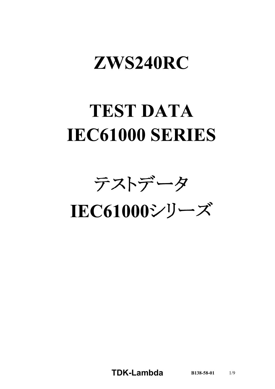# ZWS240RC

# **TEST DATA IEC61000 SERIES**

テストデータ

IEC61000シリーズ

**TDK-Lambda B138-58-01** 1/9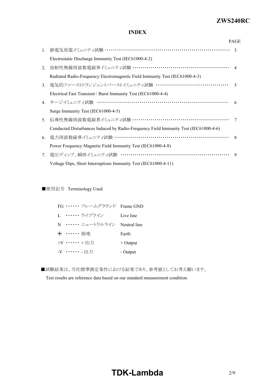#### *ZWS240R* **ZWS240RC**

### **INDEX**

|                |                                                                                      | <b>PAGE</b>  |
|----------------|--------------------------------------------------------------------------------------|--------------|
| 1.             | 静電気放電イミュニティ試験 ……………………………………………………………… 3                                             |              |
|                | Electrostatic Discharge Immunity Test (IEC61000-4-2)                                 |              |
| 2.             | 放射性無線周波数電磁界イミュニティ試験 ………………………………………………… 4                                            |              |
|                | Radiated Radio-Frequency Electromagnetic Field Immunity Test (IEC61000-4-3)          |              |
| 3 <sub>1</sub> | 電気的ファーストトランジェントバーストイミュニティ試験 …………………………………                                            | $\zeta$      |
|                | Electrical Fast Transient / Burst Immunity Test (IEC61000-4-4)                       |              |
|                | 4. サージイミュニティ試験 ……………………………………………………………                                               | 6            |
|                | Surge Immunity Test (IEC61000-4-5)                                                   |              |
| 5 <sub>1</sub> | 伝導性無線周波数電磁界イミュニティ試験 ………………………………………………                                               | 7            |
|                | Conducted Disturbances Induced by Radio-Frequency Field Immunity Test (IEC61000-4-6) |              |
| 6.             | 電力周波数磁界イミュニティ試験 ………………………………………………………                                                | $\mathbf{8}$ |
|                | Power Frequency Magnetic Field Immunity Test (IEC61000-4-8)                          |              |
| 7.             | 電圧ディップ、瞬停イミュニティ試験 ……………………………………………………                                               | $\mathbf Q$  |
|                | Voltage Dips, Short Interruptions Immunity Test (IEC61000-4-11)                      |              |

■使用記号 Terminology Used

| FG …… フレームグラウンド Frame GND   |            |
|-----------------------------|------------|
| L. …… ライブライン                | Live line  |
| N …… ニュートラルライン Neutral line |            |
| → …… 接地                     | Earth      |
| +V …… +出力                   | $+$ Output |
| -V …… - 出力                  | - Output   |

■試験結果は、当社標準測定条件における結果であり、参考値としてお考え願います。

Test results are reference data based on our standard measurement condition.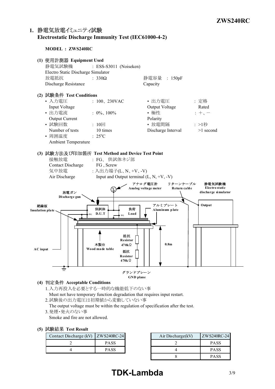### **1. Electrostatic Discharge Immunity Test (IEC6100042)**

**MODEL : ZWS240RC**



- **(4) Acceptable Conditions**
	- 1.入力再投入を必要とする一時的な機能低下のない事 Must not have temporary function degradation that requires input restart.
	- 2.試験後の出力電圧は初期値から変動していない事

The output voltage must be within the regulation of specification after the test.

3.発煙・発火のない事

Smoke and fire are not allowed.

| (5) 試験結果 Test Result |  |
|----------------------|--|
|----------------------|--|

| Contact Discharge (kV) ZWS240RC-24 |             | Air Discharge (kV) |
|------------------------------------|-------------|--------------------|
|                                    | <b>PASS</b> |                    |
|                                    | <b>PASS</b> |                    |

| ZWS240RC-24 | Air Discharge $(kV)$ | ZWS240RC-24 |
|-------------|----------------------|-------------|
| <b>PASS</b> |                      | <b>PASS</b> |
| <b>PASS</b> |                      | <b>PASS</b> |
|             |                      | <b>PASS</b> |

# **TDK-Lambda** 3/9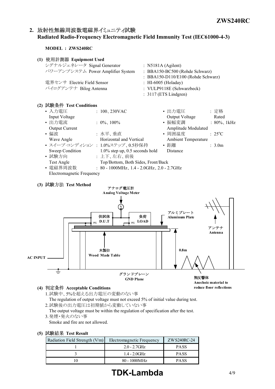### 2. 放射性無線周波数電磁界イミュニティ試験 **Radiated RadioFrequency Electromagnetic Field Immunity Test (IEC6100043)**

**MODEL : ZWS240RC**

| (1) 使用計測器 Equipment Used                                                                                                       |                                    |  |
|--------------------------------------------------------------------------------------------------------------------------------|------------------------------------|--|
| シグナルジェネレータ Signal Generator                                                                                                    | : $N5181A (Agilent)$               |  |
| パワーアンプシステム Power Amplifier System                                                                                              | : BBA150-BC500 (Rohde Schwarz)     |  |
|                                                                                                                                | : BBA150-D110/E100 (Rohde Schwarz) |  |
| 電界センサ Electric Field Sensor                                                                                                    | : HI-6005 (Holaday)                |  |
| バイログアンテナ Bilog Antenna                                                                                                         | : VULP9118E (Schwarzbeck)          |  |
|                                                                                                                                | $: 3117$ (ETS Lindgren)            |  |
| (2) 試験条件 Test Conditions                                                                                                       |                                    |  |
| - 7 五 垂丘 - 1000 - 1000 - 1000 - 1000 - 1000 - 1000 - 1000 - 1000 - 1000 - 1000 - 1000 - 1000 - 100<br>$\cdot$ 100 220 $\sigma$ | ,山五垂丘<br>. 宁枚                      |  |

| • 入力電圧                    | : $100, 230$ VAC                               | • 出力電圧              | :定格               |
|---------------------------|------------------------------------------------|---------------------|-------------------|
| Input Voltage             |                                                | Output Voltage      | Rated             |
| • 出力電流                    | : $0\%$ , $100\%$                              | • 振幅変調              | : $80\%$ , 1kHz   |
| <b>Output Current</b>     |                                                | Amplitude Modulated |                   |
| • 偏波                      | :水平、垂直                                         | • 周囲温度              | $: 25^{\circ}C$   |
| Wave Angle                | Horizontal and Vertical                        | Ambient Temperature |                   |
|                           | • スイープ・コンディション : 1.0%ステップ、0.5秒保持               | • 距離                | $\therefore$ 3.0m |
| Sweep Condition           | $1.0\%$ step up, 0.5 seconds hold              | Distance            |                   |
| • 試験方向                    | : 上下、左右、前後                                     |                     |                   |
| Test Angle                | Top/Bottom, Both Sides, Front/Back             |                     |                   |
| • 電磁界周波数                  | : $80 - 1000 MHz$ , 1.4 - 2.0GHz, 2.0 - 2.7GHz |                     |                   |
| Electromagnetic Frequency |                                                |                     |                   |

### **(3) Test Method**



#### **(4) Acceptable Conditions**

1.試験中、5%を超える出力電圧の変動のない事 The regulation of output voltage must not exceed 5% of initial value during test. 2.試験後の出力電圧は初期値から変動していない事

The output voltage must be within the regulation of specification after the test. 3.発煙・発火のない事

Smoke and fire are not allowed.

### **(5) Test Result**

| Radiation Field Strength $(V/m)$ | Electromagnetic Frequency | ZWS240RC-24 |  |  |
|----------------------------------|---------------------------|-------------|--|--|
|                                  | $2.0 - 2.7$ GHz           | <b>PASS</b> |  |  |
|                                  | $1.4 - 2.0$ GHz           | <b>PASS</b> |  |  |
|                                  | 80 - 1000MHz              | <b>PASS</b> |  |  |

# **TDK-Lambda** 4/9

**reduce floor reflections**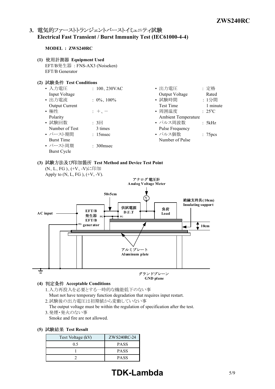### 3. 電気的ファーストトランジェントバーストイミュニティ試験 **Electrical Fast Transient / Burst Immunity Test (IEC6100044)**

#### **MODEL : ZWS240RC**

- **(1) Equipment Used** EFT/B発生器 : FNSAX3 (Noiseken) EFT/B Generator
- **(2) Test Conditions**

| • 入力電圧                | : $100, 230$ VAC      | • 出力電圧                     | : 定格                           |
|-----------------------|-----------------------|----------------------------|--------------------------------|
| Input Voltage         |                       | Output Voltage             | Rated                          |
| • 出力電流                | : $0\%$ , $100\%$     | • 試験時間                     | : 1分間                          |
| <b>Output Current</b> |                       | <b>Test Time</b>           | 1 minute                       |
| • 極性                  | $+$ , $-$             | • 周囲温度                     | $\therefore$ 25 <sup>o</sup> C |
| Polarity              |                       | <b>Ambient Temperature</b> |                                |
| • 試験回数                | : 3                   | • パルス周波数                   | : 5kHz                         |
| Number of Test        | 3 times               | Pulse Frequency            |                                |
| • バースト期間              | $: 15$ msec           | • パルス個数                    | : 75 <sub>pcs</sub>            |
| <b>Burst Time</b>     |                       | Number of Pulse            |                                |
| • バースト周期              | $\therefore$ 300 msec |                            |                                |
| <b>Burst Cycle</b>    |                       |                            |                                |

# **(3) Test Method and Device Test Point**



- 1.入力再投入を必要とする一時的な機能低下のない事 Must not have temporary function degradation that requires input restart.
	- 2.試験後の出力電圧は初期値から変動していない事
	- The output voltage must be within the regulation of specification after the test. 3.発煙・発火のない事

Smoke and fire are not allowed.

**(5) Test Result**

| Test Voltage (kV) | ZWS240RC-24 |
|-------------------|-------------|
| 0.5               | <b>PASS</b> |
|                   | <b>PASS</b> |
|                   | <b>PASS</b> |

# **TDK-Lambda** 5/9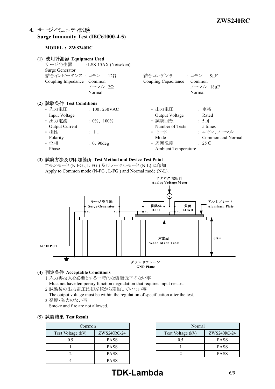## **4. Surge Immunity Test (IEC6100045)**

### **MODEL : ZWS240RC**

| 使用計測器 Equipment Used<br>(1)<br>Surge Generator<br>結合インピーダンス: コモン 12Ω<br>Coupling Impedance Common                           | サージ発生器 : LSS-15AX (Noiseken)<br>ノーマル 20<br>Normal            | 結合コンデンサ : コモン<br>Coupling Capacitance                                                                   | $9\mu F$<br>Common<br>ノーマル 18µF<br>Normal                                          |
|-----------------------------------------------------------------------------------------------------------------------------|--------------------------------------------------------------|---------------------------------------------------------------------------------------------------------|------------------------------------------------------------------------------------|
| (2) 試験条件 Test Conditions<br>• 入力電圧<br>Input Voltage<br>• 出力電流<br><b>Output Current</b><br>• 極性<br>Polarity<br>• 位相<br>Phase | $: 100, 230$ VAC<br>$: 0\%$ , 100%<br>$: +$<br>$: 0, 90$ deg | • 出力電圧<br>Output Voltage<br>• 試験回数<br>Number of Tests<br>• モード<br>Mode<br>• 周囲温度<br>Ambient Temperature | : 定格<br>Rated<br>: 5回<br>5 times<br>: コモン、ノーマル<br>Common and Normal<br>$\div$ 25°C |

**(3) Test Method and Device Test Point** コモンモード (NFG 、LFG ) 及びノーマルモード (NL) に印加 Apply to Common mode (N-FG, L-FG) and Normal mode (N-L).



### **(4) Acceptable Conditions**

- 1.入力再投入を必要とする一時的な機能低下のない事 Must not have temporary function degradation that requires input restart.
- 2.試験後の出力電圧は初期値から変動していない事
- The output voltage must be within the regulation of specification after the test. 3.発煙・発火のない事
- Smoke and fire are not allowed.

### **(5) Test Result**

| Common                           |             | Normal            |
|----------------------------------|-------------|-------------------|
| ZWS240RC-24<br>Test Voltage (kV) |             | Test Voltage (kV) |
| 0.5                              | <b>PASS</b> | 0.5               |
|                                  | <b>PASS</b> |                   |
|                                  | <b>PASS</b> |                   |
|                                  | <b>PASS</b> |                   |

|              | Normal            |             |
|--------------|-------------------|-------------|
| ZW S240RC-24 | Test Voltage (kV) | ZWS240RC-24 |
| <b>PASS</b>  | 0.5               | <b>PASS</b> |
| <b>PASS</b>  |                   | <b>PASS</b> |
| <b>PASS</b>  |                   | <b>PASS</b> |

# **TDK-Lambda** 6/9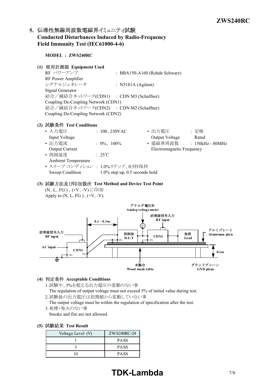### 5. 伝導性無線周波数電磁界イミュニティ試験 **Conducted Disturbances Induced by RadioFrequency Field Immunity Test (IEC61000-4-6)**

**MODEL : ZWS240RC (1) Equipment Used** RF パワーアンプ : BBA150A160 (Rohde Schwarz) RF Power Amplifier シグナルジェネレータ : N5181A (Agilent) Signal Generator 結合/減結合ネットワーク(CDN1) : CDN M3 (Schaffner) Coupling De-Coupling Network (CDN1) 結合/減結合ネットワーク(CDN2) : CDN M2 (Schaffner) Coupling De-Coupling Network (CDN2) **(2) Test Conditions** • 入力電圧 : 200, 230VAC • 出力電圧 : 定格 Input Voltage **Contract Contract Contract Contract Contract Contract Contract Contract Contract Contract Contract Contract Contract Contract Contract Contract Contract Contract Contract Contract Contract Contract Contract** • 出力電流 : 0%、100% • 電磁界周波数 : 150kHz - 80MHz Output Current Electromagnetic Frequency • 周囲温度 : 25℃ Ambient Temperature • スイープ·コンディション : 1.0%ステップ、0.5秒保持 Sweep Condition 1.0% step up, 0.5 seconds hold **(3) Test Method and Device Test Point** (N、L、FG)、(+V、-V)に印加 Apply to  $(N, L, FG)$ ,  $(+V, -V)$ . アナログ電圧計 **Analog voltage meter** 妨害波信号入力



- **(4) Acceptable Conditions**
	- 1.試験中、5%を超える出力電圧の変動のない事 The regulation of output voltage must not exceed 5% of initial value during test.
	- 2.試験後の出力電圧は初期値から変動していない事 The output voltage must be within the regulation of specification after the test.
	- 3.発煙・発火のない事 Smoke and fire are not allowed.
- **(5) Test Result**

| Voltage Level (V) | ZW S240RC-24 |
|-------------------|--------------|
|                   | <b>PASS</b>  |
|                   | <b>PASS</b>  |
|                   | <b>PASS</b>  |

# **TDK-Lambda** 7/9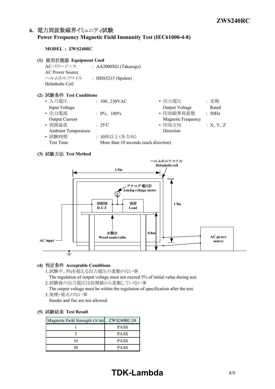### 6. 電力周波数磁界イミュニティ試験 **Power Frequency Magnetic Field Immunity Test (IEC6100048)**

#### **MODEL : ZWS240RC**

- **(1) Equipment Used**
	- ACパワーソース : AA2000XG (Takasago) AC Power Source ヘルムホルツコイル : HHS5215 (Spulen) Helmholts Coil

### **(2) Test Conditions**

| • 入力電圧                     | : $100, 230$ VAC                      | • 出力電圧                    | : 定格     |
|----------------------------|---------------------------------------|---------------------------|----------|
| Input Voltage              |                                       | Output Voltage            | Rated    |
| • 出力電流                     | : $0\%$ , $100\%$                     | • 印加磁界周波数                 | : 50Hz   |
| Output Current             |                                       | <b>Magnetic Frequency</b> |          |
| • 周囲温度                     | $\div$ 25°C                           | • 印加方向                    | :X, Y, Z |
| <b>Ambient Temperature</b> |                                       | Direction                 |          |
| • 試験時間                     | : 10秒以上(各方向)                          |                           |          |
| <b>Test Time</b>           | More than 10 seconds (each direction) |                           |          |

### **(3) Test Method**



### **(4) Acceptable Conditions**

1.試験中、5%を超える出力電圧の変動のない事

The regulation of output voltage must not exceed 5% of initial value during test. 2.試験後の出力電圧は初期値から変動していない事

The output voltage must be within the regulation of specification after the test. 3.発煙・発火のない事

Smoke and fire are not allowed.

#### **(5) Test Result**

| Magnetic Field Strength $(A/m)$ | ZWS240RC-24 |
|---------------------------------|-------------|
|                                 | <b>PASS</b> |
|                                 | <b>PASS</b> |
| 10                              | <b>PASS</b> |
|                                 | <b>PASS</b> |